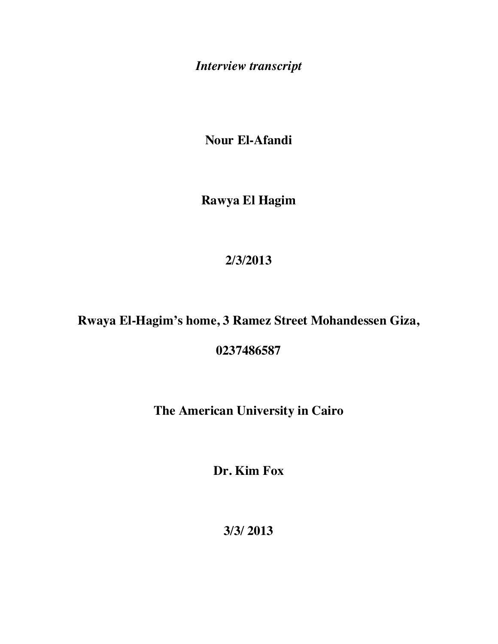*Interview transcript*

**Nour El-Afandi**

**Rawya El Hagim**

## **2/3/2013**

## **Rwaya El-Hagim's home, 3 Ramez Street Mohandessen Giza,**

**0237486587**

## **The American University in Cairo**

**Dr. Kim Fox**

**3/3/ 2013**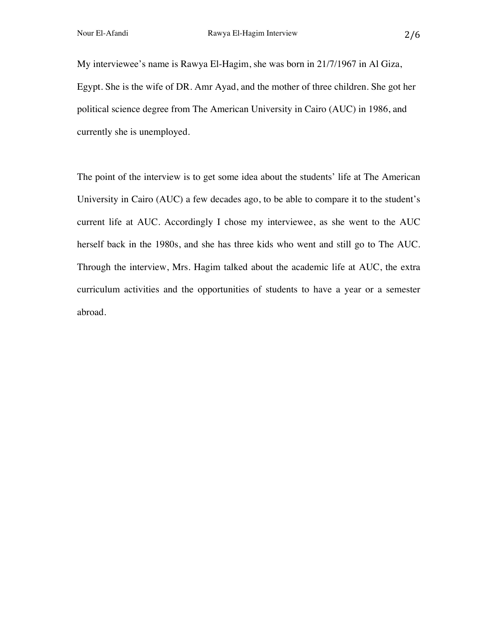My interviewee's name is Rawya El-Hagim, she was born in 21/7/1967 in Al Giza, Egypt. She is the wife of DR. Amr Ayad, and the mother of three children. She got her political science degree from The American University in Cairo (AUC) in 1986, and currently she is unemployed.

The point of the interview is to get some idea about the students' life at The American University in Cairo (AUC) a few decades ago, to be able to compare it to the student's current life at AUC. Accordingly I chose my interviewee, as she went to the AUC herself back in the 1980s, and she has three kids who went and still go to The AUC. Through the interview, Mrs. Hagim talked about the academic life at AUC, the extra curriculum activities and the opportunities of students to have a year or a semester abroad.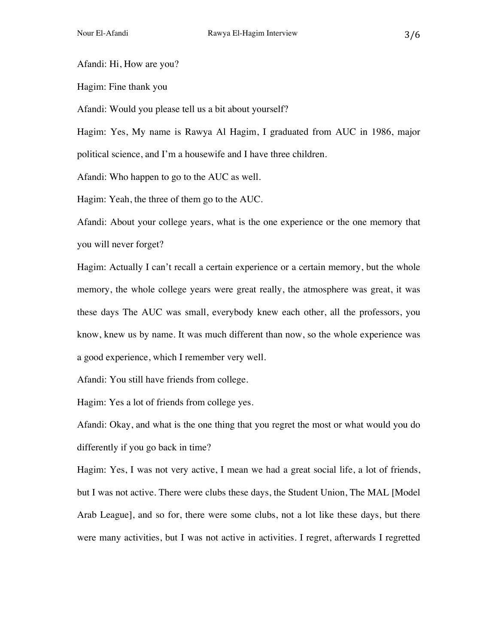Afandi: Hi, How are you?

Hagim: Fine thank you

Afandi: Would you please tell us a bit about yourself?

Hagim: Yes, My name is Rawya Al Hagim, I graduated from AUC in 1986, major political science, and I'm a housewife and I have three children.

Afandi: Who happen to go to the AUC as well.

Hagim: Yeah, the three of them go to the AUC.

Afandi: About your college years, what is the one experience or the one memory that you will never forget?

Hagim: Actually I can't recall a certain experience or a certain memory, but the whole memory, the whole college years were great really, the atmosphere was great, it was these days The AUC was small, everybody knew each other, all the professors, you know, knew us by name. It was much different than now, so the whole experience was a good experience, which I remember very well.

Afandi: You still have friends from college.

Hagim: Yes a lot of friends from college yes.

Afandi: Okay, and what is the one thing that you regret the most or what would you do differently if you go back in time?

Hagim: Yes, I was not very active, I mean we had a great social life, a lot of friends, but I was not active. There were clubs these days, the Student Union, The MAL [Model Arab League], and so for, there were some clubs, not a lot like these days, but there were many activities, but I was not active in activities. I regret, afterwards I regretted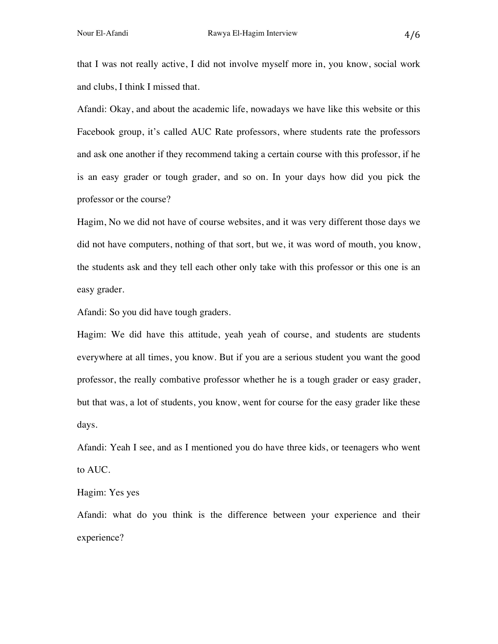that I was not really active, I did not involve myself more in, you know, social work and clubs, I think I missed that.

Afandi: Okay, and about the academic life, nowadays we have like this website or this Facebook group, it's called AUC Rate professors, where students rate the professors and ask one another if they recommend taking a certain course with this professor, if he is an easy grader or tough grader, and so on. In your days how did you pick the professor or the course?

Hagim, No we did not have of course websites, and it was very different those days we did not have computers, nothing of that sort, but we, it was word of mouth, you know, the students ask and they tell each other only take with this professor or this one is an easy grader.

Afandi: So you did have tough graders.

Hagim: We did have this attitude, yeah yeah of course, and students are students everywhere at all times, you know. But if you are a serious student you want the good professor, the really combative professor whether he is a tough grader or easy grader, but that was, a lot of students, you know, went for course for the easy grader like these days.

Afandi: Yeah I see, and as I mentioned you do have three kids, or teenagers who went to AUC.

Hagim: Yes yes

Afandi: what do you think is the difference between your experience and their experience?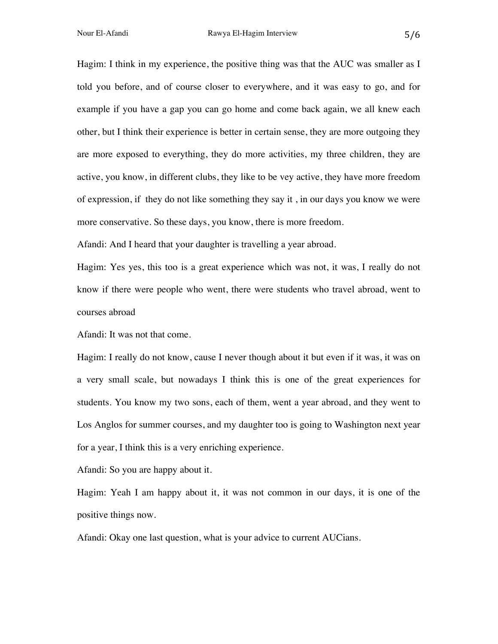Hagim: I think in my experience, the positive thing was that the AUC was smaller as I told you before, and of course closer to everywhere, and it was easy to go, and for example if you have a gap you can go home and come back again, we all knew each other, but I think their experience is better in certain sense, they are more outgoing they are more exposed to everything, they do more activities, my three children, they are active, you know, in different clubs, they like to be vey active, they have more freedom of expression, if they do not like something they say it , in our days you know we were more conservative. So these days, you know, there is more freedom.

Afandi: And I heard that your daughter is travelling a year abroad.

Hagim: Yes yes, this too is a great experience which was not, it was, I really do not know if there were people who went, there were students who travel abroad, went to courses abroad

Afandi: It was not that come.

Hagim: I really do not know, cause I never though about it but even if it was, it was on a very small scale, but nowadays I think this is one of the great experiences for students. You know my two sons, each of them, went a year abroad, and they went to Los Anglos for summer courses, and my daughter too is going to Washington next year for a year, I think this is a very enriching experience.

Afandi: So you are happy about it.

Hagim: Yeah I am happy about it, it was not common in our days, it is one of the positive things now.

Afandi: Okay one last question, what is your advice to current AUCians.